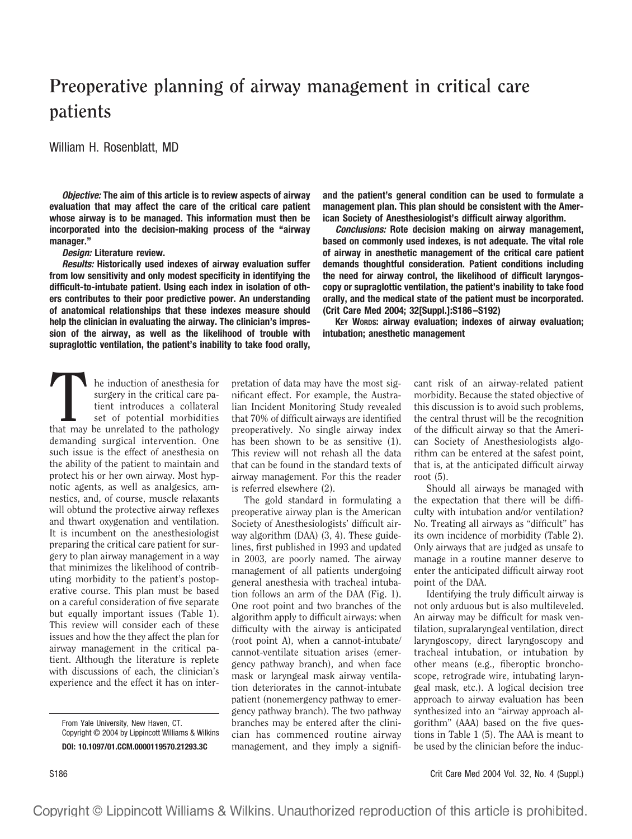## **Preoperative planning of airway management in critical care patients**

William H. Rosenblatt, MD

*Objective:* **The aim of this article is to review aspects of airway evaluation that may affect the care of the critical care patient whose airway is to be managed. This information must then be incorporated into the decision-making process of the "airway manager."**

## *Design:* **Literature review.**

*Results:* **Historically used indexes of airway evaluation suffer from low sensitivity and only modest specificity in identifying the difficult-to-intubate patient. Using each index in isolation of others contributes to their poor predictive power. An understanding of anatomical relationships that these indexes measure should help the clinician in evaluating the airway. The clinician's impression of the airway, as well as the likelihood of trouble with supraglottic ventilation, the patient's inability to take food orally,** **and the patient's general condition can be used to formulate a management plan. This plan should be consistent with the American Society of Anesthesiologist's difficult airway algorithm.**

*Conclusions:* **Rote decision making on airway management, based on commonly used indexes, is not adequate. The vital role of airway in anesthetic management of the critical care patient demands thoughtful consideration. Patient conditions including the need for airway control, the likelihood of difficult laryngoscopy or supraglottic ventilation, the patient's inability to take food orally, and the medical state of the patient must be incorporated. (Crit Care Med 2004; 32[Suppl.]:S186–S192)**

**KEY WORDS: airway evaluation; indexes of airway evaluation; intubation; anesthetic management**

The induction of anesthesia for<br>surgery in the critical care pa-<br>tient introduces a collateral<br>set of potential morbidities<br>that may be unrelated to the pathology surgery in the critical care patient introduces a collateral set of potential morbidities demanding surgical intervention. One such issue is the effect of anesthesia on the ability of the patient to maintain and protect his or her own airway. Most hypnotic agents, as well as analgesics, amnestics, and, of course, muscle relaxants will obtund the protective airway reflexes and thwart oxygenation and ventilation. It is incumbent on the anesthesiologist preparing the critical care patient for surgery to plan airway management in a way that minimizes the likelihood of contributing morbidity to the patient's postoperative course. This plan must be based on a careful consideration of five separate but equally important issues (Table 1). This review will consider each of these issues and how the they affect the plan for airway management in the critical patient. Although the literature is replete with discussions of each, the clinician's experience and the effect it has on inter-

pretation of data may have the most significant effect. For example, the Australian Incident Monitoring Study revealed that 70% of difficult airways are identified preoperatively. No single airway index has been shown to be as sensitive (1). This review will not rehash all the data that can be found in the standard texts of airway management. For this the reader is referred elsewhere (2).

The gold standard in formulating a preoperative airway plan is the American Society of Anesthesiologists' difficult airway algorithm (DAA) (3, 4). These guidelines, first published in 1993 and updated in 2003, are poorly named. The airway management of all patients undergoing general anesthesia with tracheal intubation follows an arm of the DAA (Fig. 1). One root point and two branches of the algorithm apply to difficult airways: when difficulty with the airway is anticipated (root point A), when a cannot-intubate/ cannot-ventilate situation arises (emergency pathway branch), and when face mask or laryngeal mask airway ventilation deteriorates in the cannot-intubate patient (nonemergency pathway to emergency pathway branch). The two pathway branches may be entered after the clinician has commenced routine airway management, and they imply a significant risk of an airway-related patient morbidity. Because the stated objective of this discussion is to avoid such problems, the central thrust will be the recognition of the difficult airway so that the American Society of Anesthesiologists algorithm can be entered at the safest point, that is, at the anticipated difficult airway root (5).

Should all airways be managed with the expectation that there will be difficulty with intubation and/or ventilation? No. Treating all airways as "difficult" has its own incidence of morbidity (Table 2). Only airways that are judged as unsafe to manage in a routine manner deserve to enter the anticipated difficult airway root point of the DAA.

Identifying the truly difficult airway is not only arduous but is also multileveled. An airway may be difficult for mask ventilation, supralaryngeal ventilation, direct laryngoscopy, direct laryngoscopy and tracheal intubation, or intubation by other means (e.g., fiberoptic bronchoscope, retrograde wire, intubating laryngeal mask, etc.). A logical decision tree approach to airway evaluation has been synthesized into an "airway approach algorithm" (AAA) based on the five questions in Table 1 (5). The AAA is meant to be used by the clinician before the induc-

From Yale University, New Haven, CT. Copyright © 2004 by Lippincott Williams & Wilkins **DOI: 10.1097/01.CCM.0000119570.21293.3C**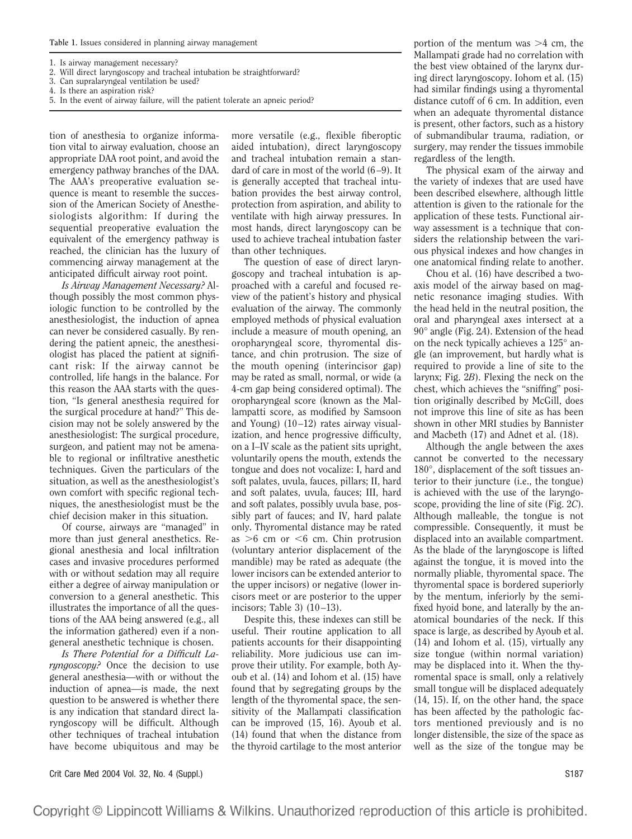- 1. Is airway management necessary?
- 2. Will direct laryngoscopy and tracheal intubation be straightforward?
- 3. Can supralaryngeal ventilation be used?
- 4. Is there an aspiration risk?
- 5. In the event of airway failure, will the patient tolerate an apneic period?

tion of anesthesia to organize information vital to airway evaluation, choose an appropriate DAA root point, and avoid the emergency pathway branches of the DAA. The AAA's preoperative evaluation sequence is meant to resemble the succession of the American Society of Anesthesiologists algorithm: If during the sequential preoperative evaluation the equivalent of the emergency pathway is reached, the clinician has the luxury of commencing airway management at the anticipated difficult airway root point.

*Is Airway Management Necessary?* Although possibly the most common physiologic function to be controlled by the anesthesiologist, the induction of apnea can never be considered casually. By rendering the patient apneic, the anesthesiologist has placed the patient at significant risk: If the airway cannot be controlled, life hangs in the balance. For this reason the AAA starts with the question, "Is general anesthesia required for the surgical procedure at hand?" This decision may not be solely answered by the anesthesiologist: The surgical procedure, surgeon, and patient may not be amenable to regional or infiltrative anesthetic techniques. Given the particulars of the situation, as well as the anesthesiologist's own comfort with specific regional techniques, the anesthesiologist must be the chief decision maker in this situation.

Of course, airways are "managed" in more than just general anesthetics. Regional anesthesia and local infiltration cases and invasive procedures performed with or without sedation may all require either a degree of airway manipulation or conversion to a general anesthetic. This illustrates the importance of all the questions of the AAA being answered (e.g., all the information gathered) even if a nongeneral anesthetic technique is chosen.

*Is There Potential for a Difficult Laryngoscopy?* Once the decision to use general anesthesia—with or without the induction of apnea—is made, the next question to be answered is whether there is any indication that standard direct laryngoscopy will be difficult. Although other techniques of tracheal intubation have become ubiquitous and may be

more versatile (e.g., flexible fiberoptic aided intubation), direct laryngoscopy and tracheal intubation remain a standard of care in most of the world (6–9). It is generally accepted that tracheal intubation provides the best airway control, protection from aspiration, and ability to ventilate with high airway pressures. In most hands, direct laryngoscopy can be used to achieve tracheal intubation faster than other techniques.

The question of ease of direct laryngoscopy and tracheal intubation is approached with a careful and focused review of the patient's history and physical evaluation of the airway. The commonly employed methods of physical evaluation include a measure of mouth opening, an oropharyngeal score, thyromental distance, and chin protrusion. The size of the mouth opening (interincisor gap) may be rated as small, normal, or wide (a 4-cm gap being considered optimal). The oropharyngeal score (known as the Mallampatti score, as modified by Samsoon and Young) (10–12) rates airway visualization, and hence progressive difficulty, on a I–IV scale as the patient sits upright, voluntarily opens the mouth, extends the tongue and does not vocalize: I, hard and soft palates, uvula, fauces, pillars; II, hard and soft palates, uvula, fauces; III, hard and soft palates, possibly uvula base, possibly part of fauces; and IV, hard palate only. Thyromental distance may be rated as  $>6$  cm or  $<6$  cm. Chin protrusion (voluntary anterior displacement of the mandible) may be rated as adequate (the lower incisors can be extended anterior to the upper incisors) or negative (lower incisors meet or are posterior to the upper incisors; Table 3) (10–13).

Despite this, these indexes can still be useful. Their routine application to all patients accounts for their disappointing reliability. More judicious use can improve their utility. For example, both Ayoub et al. (14) and Iohom et al. (15) have found that by segregating groups by the length of the thyromental space, the sensitivity of the Mallampati classification can be improved (15, 16). Ayoub et al. (14) found that when the distance from the thyroid cartilage to the most anterior

portion of the mentum was  $>4$  cm, the Mallampati grade had no correlation with the best view obtained of the larynx during direct laryngoscopy. Iohom et al. (15) had similar findings using a thyromental distance cutoff of 6 cm. In addition, even when an adequate thyromental distance is present, other factors, such as a history of submandibular trauma, radiation, or surgery, may render the tissues immobile regardless of the length.

The physical exam of the airway and the variety of indexes that are used have been described elsewhere, although little attention is given to the rationale for the application of these tests. Functional airway assessment is a technique that considers the relationship between the various physical indexes and how changes in one anatomical finding relate to another.

Chou et al. (16) have described a twoaxis model of the airway based on magnetic resonance imaging studies. With the head held in the neutral position, the oral and pharyngeal axes intersect at a 90° angle (Fig. 2*A*). Extension of the head on the neck typically achieves a 125° angle (an improvement, but hardly what is required to provide a line of site to the larynx; Fig. 2*B*). Flexing the neck on the chest, which achieves the "sniffing" position originally described by McGill, does not improve this line of site as has been shown in other MRI studies by Bannister and Macbeth (17) and Adnet et al. (18).

Although the angle between the axes cannot be converted to the necessary 180°, displacement of the soft tissues anterior to their juncture (i.e., the tongue) is achieved with the use of the laryngoscope, providing the line of site (Fig. 2*C*). Although malleable, the tongue is not compressible. Consequently, it must be displaced into an available compartment. As the blade of the laryngoscope is lifted against the tongue, it is moved into the normally pliable, thyromental space. The thyromental space is bordered superiorly by the mentum, inferiorly by the semifixed hyoid bone, and laterally by the anatomical boundaries of the neck. If this space is large, as described by Ayoub et al. (14) and Iohom et al. (15), virtually any size tongue (within normal variation) may be displaced into it. When the thyromental space is small, only a relatively small tongue will be displaced adequately (14, 15). If, on the other hand, the space has been affected by the pathologic factors mentioned previously and is no longer distensible, the size of the space as well as the size of the tongue may be

Crit Care Med 2004 Vol. 32, No. 4 (Suppl.) S187

Copyright © Lippincott Williams & Wilkins. Unauthorized reproduction of this article is prohibited.

**Table 1.** Issues considered in planning airway management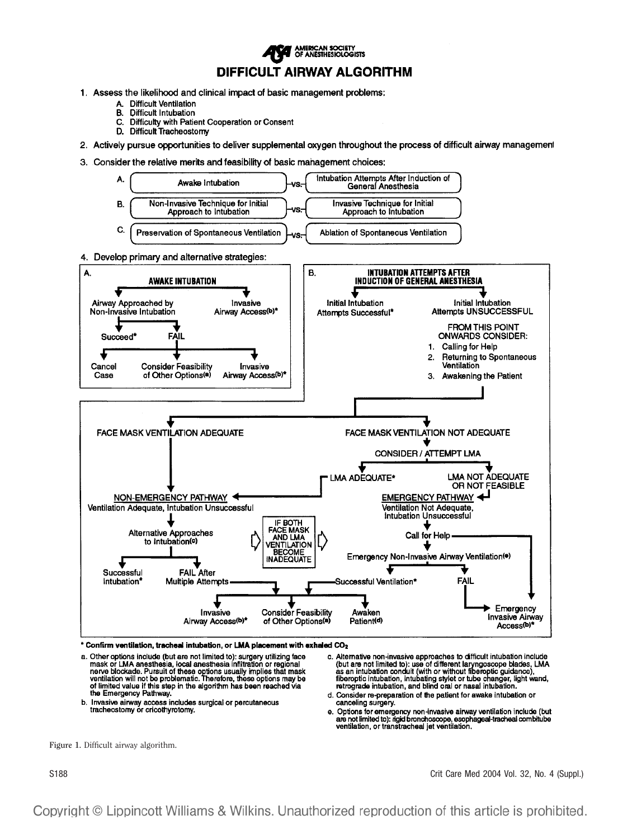

DIFFICULT AIRWAY ALGORITHM

- 1. Assess the likelihood and clinical impact of basic management problems:
	- A. Difficult Ventilation
	- **Difficult Intubation** R.
	- Difficulty with Patient Cooperation or Consent C.
	- D. Difficult Tracheostomy
- 2. Actively pursue opportunities to deliver supplemental oxygen throughout the process of difficult airway management
- 3. Consider the relative merits and feasibility of basic management choices:



a. Other options include (but are not limited to): surgery utilizing face<br>mask or LMA anesthesia, local anesthesia infiltration or regional<br>nerve blockade. Pursuit of these options usually implies that mask<br>ventilation wil the Emergency Pathway.

- b. Invasive airway access includes surgical or percutaneous tracheostomy or cricothyrotomy.
- c. Alternative non-invasive approaches to difficult intubation include<br>(but are not limited to): use of different laryngoscope blades, LMA<br>as an intubation conduit (with or without fiberoptic guidance),<br>fiberoptic intubati
- d. Consider re-preparation of the patient for awake intubation or canceling surgery.
- e. Options for emergency non-invasive airway ventilation include (but<br>are not limited to): rigid bronchoscope, esophageal-tracheal combitube<br>ventilation, or transtracheal jet ventilation.

**Figure 1.** Difficult airway algorithm.

S188 Crit Care Med 2004 Vol. 32, No. 4 (Suppl.)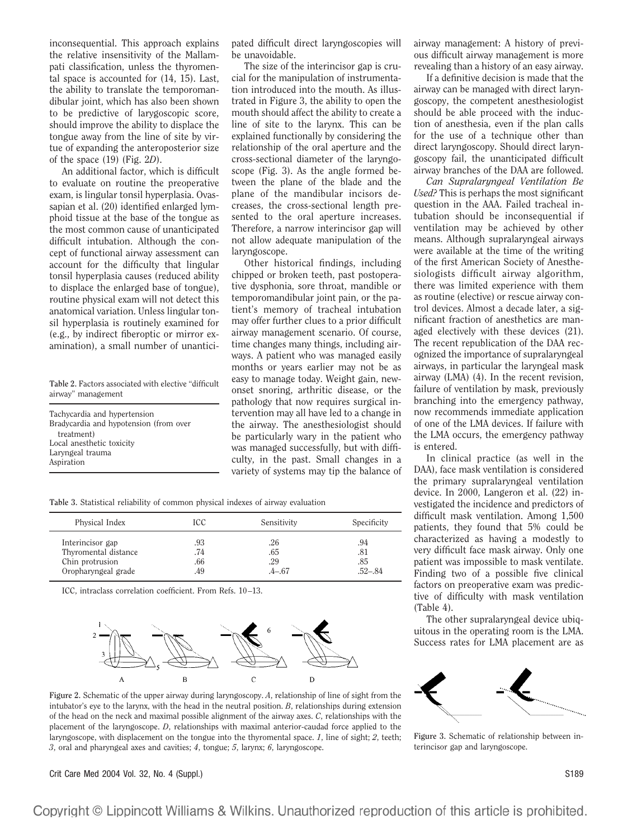inconsequential. This approach explains the relative insensitivity of the Mallampati classification, unless the thyromental space is accounted for (14, 15). Last, the ability to translate the temporomandibular joint, which has also been shown to be predictive of larygoscopic score, should improve the ability to displace the tongue away from the line of site by virtue of expanding the anteroposterior size of the space (19) (Fig. 2*D*).

An additional factor, which is difficult to evaluate on routine the preoperative exam, is lingular tonsil hyperplasia. Ovassapian et al. (20) identified enlarged lymphoid tissue at the base of the tongue as the most common cause of unanticipated difficult intubation. Although the concept of functional airway assessment can account for the difficulty that lingular tonsil hyperplasia causes (reduced ability to displace the enlarged base of tongue), routine physical exam will not detect this anatomical variation. Unless lingular tonsil hyperplasia is routinely examined for (e.g., by indirect fiberoptic or mirror examination), a small number of unantici-

**Table 2.** Factors associated with elective "difficult airway" management

Tachycardia and hypertension Bradycardia and hypotension (from over treatment) Local anesthetic toxicity Laryngeal trauma Aspiration

pated difficult direct laryngoscopies will be unavoidable.

The size of the interincisor gap is crucial for the manipulation of instrumentation introduced into the mouth. As illustrated in Figure 3, the ability to open the mouth should affect the ability to create a line of site to the larynx. This can be explained functionally by considering the relationship of the oral aperture and the cross-sectional diameter of the laryngoscope (Fig. 3). As the angle formed between the plane of the blade and the plane of the mandibular incisors decreases, the cross-sectional length presented to the oral aperture increases. Therefore, a narrow interincisor gap will not allow adequate manipulation of the laryngoscope.

Other historical findings, including chipped or broken teeth, past postoperative dysphonia, sore throat, mandible or temporomandibular joint pain, or the patient's memory of tracheal intubation may offer further clues to a prior difficult airway management scenario. Of course, time changes many things, including airways. A patient who was managed easily months or years earlier may not be as easy to manage today. Weight gain, newonset snoring, arthritic disease, or the pathology that now requires surgical intervention may all have led to a change in the airway. The anesthesiologist should be particularly wary in the patient who was managed successfully, but with difficulty, in the past. Small changes in a variety of systems may tip the balance of

**Table 3.** Statistical reliability of common physical indexes of airway evaluation

| Physical Index       | <b>ICC</b> | Sensitivity | Specificity |
|----------------------|------------|-------------|-------------|
| Interincisor gap     | .93        | .26         | .94         |
| Thyromental distance | .74        | .65         | .81         |
| Chin protrusion      | .66        | .29         | .85         |
| Oropharyngeal grade  | .49        | $-4 - 67$   | $.52 - .84$ |

ICC, intraclass correlation coefficient. From Refs. 10–13.



**Figure 2.** Schematic of the upper airway during laryngoscopy. *A*, relationship of line of sight from the intubator's eye to the larynx, with the head in the neutral position. *B*, relationships during extension of the head on the neck and maximal possible alignment of the airway axes. *C*, relationships with the placement of the laryngoscope. *D*, relationships with maximal anterior-caudad force applied to the laryngoscope, with displacement on the tongue into the thyromental space. *1*, line of sight; *2*, teeth; *3*, oral and pharyngeal axes and cavities; *4*, tongue; *5*, larynx; *6*, laryngoscope.

Crit Care Med 2004 Vol. 32, No. 4 (Suppl.) S189

airway management: A history of previous difficult airway management is more revealing than a history of an easy airway.

If a definitive decision is made that the airway can be managed with direct laryngoscopy, the competent anesthesiologist should be able proceed with the induction of anesthesia, even if the plan calls for the use of a technique other than direct laryngoscopy. Should direct laryngoscopy fail, the unanticipated difficult airway branches of the DAA are followed.

*Can Supralaryngeal Ventilation Be Used?* This is perhaps the most significant question in the AAA. Failed tracheal intubation should be inconsequential if ventilation may be achieved by other means. Although supralaryngeal airways were available at the time of the writing of the first American Society of Anesthesiologists difficult airway algorithm, there was limited experience with them as routine (elective) or rescue airway control devices. Almost a decade later, a significant fraction of anesthetics are managed electively with these devices (21). The recent republication of the DAA recognized the importance of supralaryngeal airways, in particular the laryngeal mask airway (LMA) (4). In the recent revision, failure of ventilation by mask, previously branching into the emergency pathway, now recommends immediate application of one of the LMA devices. If failure with the LMA occurs, the emergency pathway is entered.

In clinical practice (as well in the DAA), face mask ventilation is considered the primary supralaryngeal ventilation device. In 2000, Langeron et al. (22) investigated the incidence and predictors of difficult mask ventilation. Among 1,500 patients, they found that 5% could be characterized as having a modestly to very difficult face mask airway. Only one patient was impossible to mask ventilate. Finding two of a possible five clinical factors on preoperative exam was predictive of difficulty with mask ventilation (Table 4).

The other supralaryngeal device ubiquitous in the operating room is the LMA. Success rates for LMA placement are as



**Figure 3.** Schematic of relationship between interincisor gap and laryngoscope.

Copyright © Lippincott Williams & Wilkins. Unauthorized reproduction of this article is prohibited.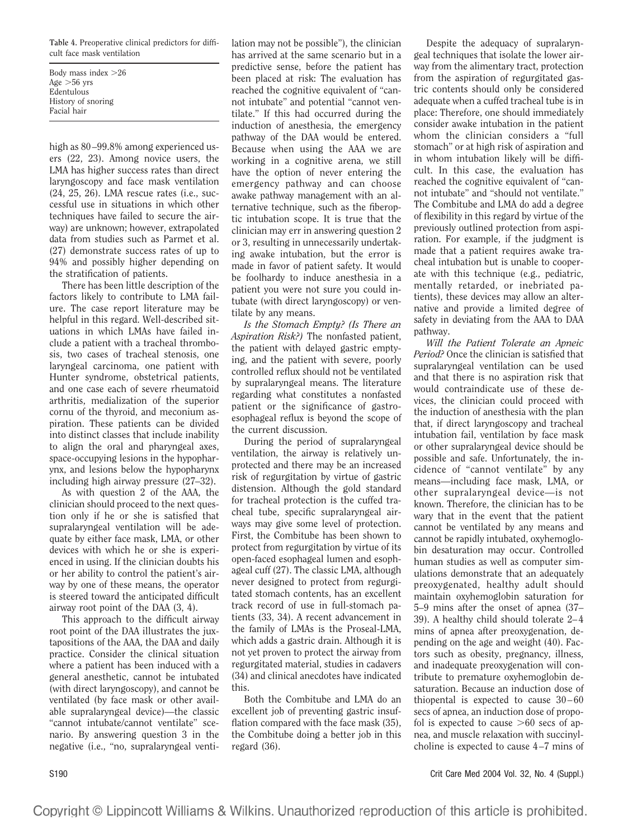**Table 4.** Preoperative clinical predictors for difficult face mask ventilation

high as 80–99.8% among experienced users (22, 23). Among novice users, the LMA has higher success rates than direct laryngoscopy and face mask ventilation (24, 25, 26). LMA rescue rates (i.e., successful use in situations in which other techniques have failed to secure the airway) are unknown; however, extrapolated data from studies such as Parmet et al. (27) demonstrate success rates of up to 94% and possibly higher depending on the stratification of patients.

There has been little description of the factors likely to contribute to LMA failure. The case report literature may be helpful in this regard. Well-described situations in which LMAs have failed include a patient with a tracheal thrombosis, two cases of tracheal stenosis, one laryngeal carcinoma, one patient with Hunter syndrome, obstetrical patients, and one case each of severe rheumatoid arthritis, medialization of the superior cornu of the thyroid, and meconium aspiration. These patients can be divided into distinct classes that include inability to align the oral and pharyngeal axes, space-occupying lesions in the hypopharynx, and lesions below the hypopharynx including high airway pressure (27–32).

As with question 2 of the AAA, the clinician should proceed to the next question only if he or she is satisfied that supralaryngeal ventilation will be adequate by either face mask, LMA, or other devices with which he or she is experienced in using. If the clinician doubts his or her ability to control the patient's airway by one of these means, the operator is steered toward the anticipated difficult airway root point of the DAA (3, 4).

This approach to the difficult airway root point of the DAA illustrates the juxtapositions of the AAA, the DAA and daily practice. Consider the clinical situation where a patient has been induced with a general anesthetic, cannot be intubated (with direct laryngoscopy), and cannot be ventilated (by face mask or other available supralaryngeal device)—the classic "cannot intubate/cannot ventilate" scenario. By answering question 3 in the negative (i.e., "no, supralaryngeal ventilation may not be possible"), the clinician has arrived at the same scenario but in a predictive sense, before the patient has been placed at risk: The evaluation has reached the cognitive equivalent of "cannot intubate" and potential "cannot ventilate." If this had occurred during the induction of anesthesia, the emergency pathway of the DAA would be entered. Because when using the AAA we are working in a cognitive arena, we still have the option of never entering the emergency pathway and can choose awake pathway management with an alternative technique, such as the fiberoptic intubation scope. It is true that the clinician may err in answering question 2 or 3, resulting in unnecessarily undertaking awake intubation, but the error is made in favor of patient safety. It would be foolhardy to induce anesthesia in a patient you were not sure you could intubate (with direct laryngoscopy) or ventilate by any means.

*Is the Stomach Empty? (Is There an Aspiration Risk?)* The nonfasted patient, the patient with delayed gastric emptying, and the patient with severe, poorly controlled reflux should not be ventilated by supralaryngeal means. The literature regarding what constitutes a nonfasted patient or the significance of gastroesophageal reflux is beyond the scope of the current discussion.

During the period of supralaryngeal ventilation, the airway is relatively unprotected and there may be an increased risk of regurgitation by virtue of gastric distension. Although the gold standard for tracheal protection is the cuffed tracheal tube, specific supralaryngeal airways may give some level of protection. First, the Combitube has been shown to protect from regurgitation by virtue of its open-faced esophageal lumen and esophageal cuff (27). The classic LMA, although never designed to protect from regurgitated stomach contents, has an excellent track record of use in full-stomach patients (33, 34). A recent advancement in the family of LMAs is the Proseal-LMA, which adds a gastric drain. Although it is not yet proven to protect the airway from regurgitated material, studies in cadavers (34) and clinical anecdotes have indicated this.

Both the Combitube and LMA do an excellent job of preventing gastric insufflation compared with the face mask (35), the Combitube doing a better job in this regard (36).

Despite the adequacy of supralaryngeal techniques that isolate the lower airway from the alimentary tract, protection from the aspiration of regurgitated gastric contents should only be considered adequate when a cuffed tracheal tube is in place: Therefore, one should immediately consider awake intubation in the patient whom the clinician considers a "full stomach" or at high risk of aspiration and in whom intubation likely will be difficult. In this case, the evaluation has reached the cognitive equivalent of "cannot intubate" and "should not ventilate." The Combitube and LMA do add a degree of flexibility in this regard by virtue of the previously outlined protection from aspiration. For example, if the judgment is made that a patient requires awake tracheal intubation but is unable to cooperate with this technique (e.g., pediatric, mentally retarded, or inebriated patients), these devices may allow an alternative and provide a limited degree of safety in deviating from the AAA to DAA pathway.

*Will the Patient Tolerate an Apneic Period?* Once the clinician is satisfied that supralaryngeal ventilation can be used and that there is no aspiration risk that would contraindicate use of these devices, the clinician could proceed with the induction of anesthesia with the plan that, if direct laryngoscopy and tracheal intubation fail, ventilation by face mask or other supralaryngeal device should be possible and safe. Unfortunately, the incidence of "cannot ventilate" by any means—including face mask, LMA, or other supralaryngeal device—is not known. Therefore, the clinician has to be wary that in the event that the patient cannot be ventilated by any means and cannot be rapidly intubated, oxyhemoglobin desaturation may occur. Controlled human studies as well as computer simulations demonstrate that an adequately preoxygenated, healthy adult should maintain oxyhemoglobin saturation for 5–9 mins after the onset of apnea (37– 39). A healthy child should tolerate 2–4 mins of apnea after preoxygenation, depending on the age and weight (40). Factors such as obesity, pregnancy, illness, and inadequate preoxygenation will contribute to premature oxyhemoglobin desaturation. Because an induction dose of thiopental is expected to cause 30–60 secs of apnea, an induction dose of propofol is expected to cause  $>60$  secs of apnea, and muscle relaxation with succinylcholine is expected to cause 4–7 mins of

S190 Crit Care Med 2004 Vol. 32, No. 4 (Suppl.)

Copyright © Lippincott Williams & Wilkins. Unauthorized reproduction of this article is prohibited.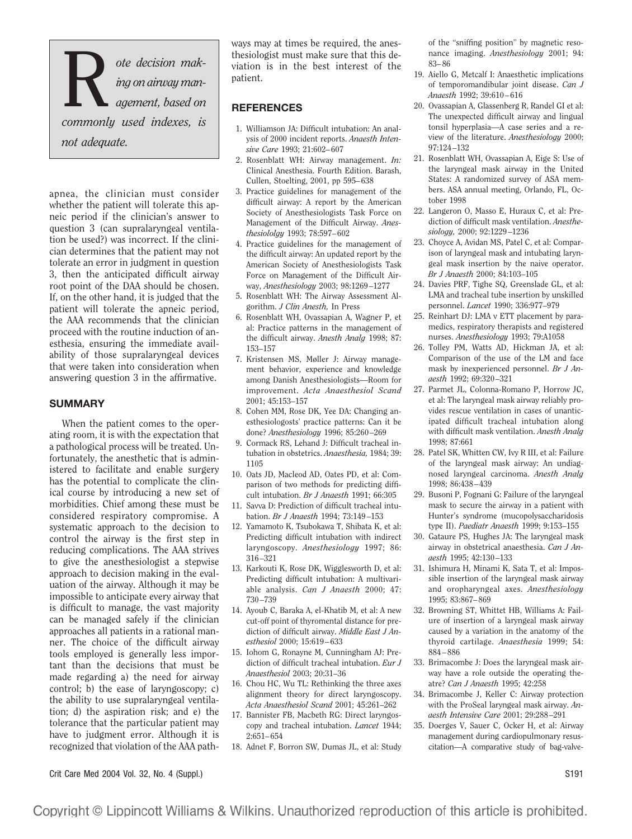ote decision making on airway man-<br>agement, based on *ing on airway management, based on commonly used indexes, is not adequate.*

apnea, the clinician must consider whether the patient will tolerate this apneic period if the clinician's answer to question 3 (can supralaryngeal ventilation be used?) was incorrect. If the clinician determines that the patient may not tolerate an error in judgment in question 3, then the anticipated difficult airway root point of the DAA should be chosen. If, on the other hand, it is judged that the patient will tolerate the apneic period, the AAA recommends that the clinician proceed with the routine induction of anesthesia, ensuring the immediate availability of those supralaryngeal devices that were taken into consideration when answering question 3 in the affirmative.

## **SUMMARY**

When the patient comes to the operating room, it is with the expectation that a pathological process will be treated. Unfortunately, the anesthetic that is administered to facilitate and enable surgery has the potential to complicate the clinical course by introducing a new set of morbidities. Chief among these must be considered respiratory compromise. A systematic approach to the decision to control the airway is the first step in reducing complications. The AAA strives to give the anesthesiologist a stepwise approach to decision making in the evaluation of the airway. Although it may be impossible to anticipate every airway that is difficult to manage, the vast majority can be managed safely if the clinician approaches all patients in a rational manner. The choice of the difficult airway tools employed is generally less important than the decisions that must be made regarding a) the need for airway control; b) the ease of laryngoscopy; c) the ability to use supralaryngeal ventilation; d) the aspiration risk; and e) the tolerance that the particular patient may have to judgment error. Although it is recognized that violation of the AAA pathways may at times be required, the anesthesiologist must make sure that this deviation is in the best interest of the patient.

## **REFERENCES**

- 1. Williamson JA: Difficult intubation: An analysis of 2000 incident reports. *Anaesth Intensive Care* 1993; 21:602–607
- 2. Rosenblatt WH: Airway management. *In:* Clinical Anesthesia. Fourth Edition. Barash, Cullen, Stoelting, 2001, pp 595–638
- 3. Practice guidelines for management of the difficult airway: A report by the American Society of Anesthesiologists Task Force on Management of the Difficult Airway. *Anesthesiololgy* 1993; 78:597–602
- 4. Practice guidelines for the management of the difficult airway: An updated report by the American Society of Anesthesiologists Task Force on Management of the Difficult Airway, *Anesthesiology* 2003; 98:1269–1277
- 5. Rosenblatt WH: The Airway Assessment Algorithm. *J Clin Anesth,* In Press
- 6. Rosenblatt WH, Ovassapian A, Wagner P, et al: Practice patterns in the management of the difficult airway. *Anesth Analg* 1998; 87: 153–157
- 7. Kristensen MS, Møller J: Airway management behavior, experience and knowledge among Danish Anesthesiologists—Room for improvement. *Acta Anaesthesiol Scand* 2001; 45:153–157
- 8. Cohen MM, Rose DK, Yee DA: Changing anesthesiologosts' practice patterns: Can it be done? *Anesthesiology* 1996; 85:260–269
- 9. Cormack RS, Lehand J: Difficult tracheal intubation in obstetrics. *Anaesthesia,* 1984; 39: 1105
- 10. Oats JD, Macleod AD, Oates PD, et al: Comparison of two methods for predicting difficult intubation. *Br J Anaesth* 1991; 66:305
- 11. Savva D: Prediction of difficult tracheal intubation. *Br J Anaesth* 1994; 73:149–153
- 12. Yamamoto K, Tsubokawa T, Shibata K, et al: Predicting difficult intubation with indirect laryngoscopy. *Anesthesiology* 1997; 86: 316–321
- 13. Karkouti K, Rose DK, Wigglesworth D, et al: Predicting difficult intubation: A multivariable analysis. *Can J Anaesth* 2000; 47: 730–739
- 14. Ayoub C, Baraka A, el-Khatib M, et al: A new cut-off point of thyromental distance for prediction of difficult airway. *Middle East J Anesthesiol* 2000; 15:619–633
- 15. Iohom G, Ronayne M, Cunningham AJ: Prediction of difficult tracheal intubation. *Eur J Anaesthesiol* 2003; 20:31–36
- 16. Chou HC, Wu TL: Rethinking the three axes alignment theory for direct laryngoscopy. *Acta Anaesthesiol Scand* 2001; 45:261–262
- 17. Bannister FB, Macbeth RG: Direct laryngoscopy and tracheal intubation. *Lancet* 1944; 2:651–654
- 18. Adnet F, Borron SW, Dumas JL, et al: Study

of the "sniffing position" by magnetic resonance imaging. *Anesthesiology* 2001; 94: 83–86

- 19. Aiello G, Metcalf I: Anaesthetic implications of temporomandibular joint disease. *Can J Anaesth* 1992; 39:610–616
- 20. Ovassapian A, Glassenberg R, Randel GI et al: The unexpected difficult airway and lingual tonsil hyperplasia—A case series and a review of the literature. *Anesthesiology* 2000; 97:124–132
- 21. Rosenblatt WH, Ovassapian A, Eige S: Use of the laryngeal mask airway in the United States: A randomized survey of ASA members. ASA annual meeting, Orlando, FL, October 1998
- 22. Langeron O, Masso E, Huraux C, et al: Prediction of difficult mask ventilation. *Anesthesiology,* 2000; 92:1229–1236
- 23. Choyce A, Avidan MS, Patel C, et al: Comparison of laryngeal mask and intubating laryngeal mask insertion by the naive operator. *Br J Anaesth* 2000; 84:103–105
- 24. Davies PRF, Tighe SQ, Greenslade GL, et al: LMA and tracheal tube insertion by unskilled personnel. *Lancet* 1990; 336:977–979
- 25. Reinhart DJ: LMA v ETT placement by paramedics, respiratory therapists and registered nurses. *Anesthesiology* 1993; 79:A1058
- 26. Tolley PM, Watts AD, Hickman JA, et al: Comparison of the use of the LM and face mask by inexperienced personnel. *Br J Anaesth* 1992; 69:320–321
- 27. Parmet JL, Colonna-Romano P, Horrow JC, et al: The laryngeal mask airway reliably provides rescue ventilation in cases of unanticipated difficult tracheal intubation along with difficult mask ventilation. *Anesth Analg* 1998; 87:661
- 28. Patel SK, Whitten CW, Ivy R III, et al: Failure of the laryngeal mask airway: An undiagnosed laryngeal carcinoma. *Anesth Analg* 1998; 86:438–439
- 29. Busoni P, Fognani G: Failure of the laryngeal mask to secure the airway in a patient with Hunter's syndrome (mucopolysaccharidosis type II). *Paediatr Anaesth* 1999; 9:153–155
- 30. Gataure PS, Hughes JA: The laryngeal mask airway in obstetrical anaesthesia. *Can J Anaesth* 1995; 42:130–133
- 31. Ishimura H, Minami K, Sata T, et al: Impossible insertion of the laryngeal mask airway and oropharyngeal axes. *Anesthesiology* 1995; 83:867–869
- 32. Browning ST, Whittet HB, Williams A: Failure of insertion of a laryngeal mask airway caused by a variation in the anatomy of the thyroid cartilage. *Anaesthesia* 1999; 54: 884–886
- 33. Brimacombe J: Does the laryngeal mask airway have a role outside the operating theatre? *Can J Anaesth* 1995; 42:258
- 34. Brimacombe J, Keller C: Airway protection with the ProSeal laryngeal mask airway. *Anaesth Intensive Care* 2001; 29:288–291
- 35. Doerges V, Sauer C, Ocker H, et al: Airway management during cardiopulmonary resuscitation—A comparative study of bag-valve-

Crit Care Med 2004 Vol. 32, No. 4 (Suppl.) S191